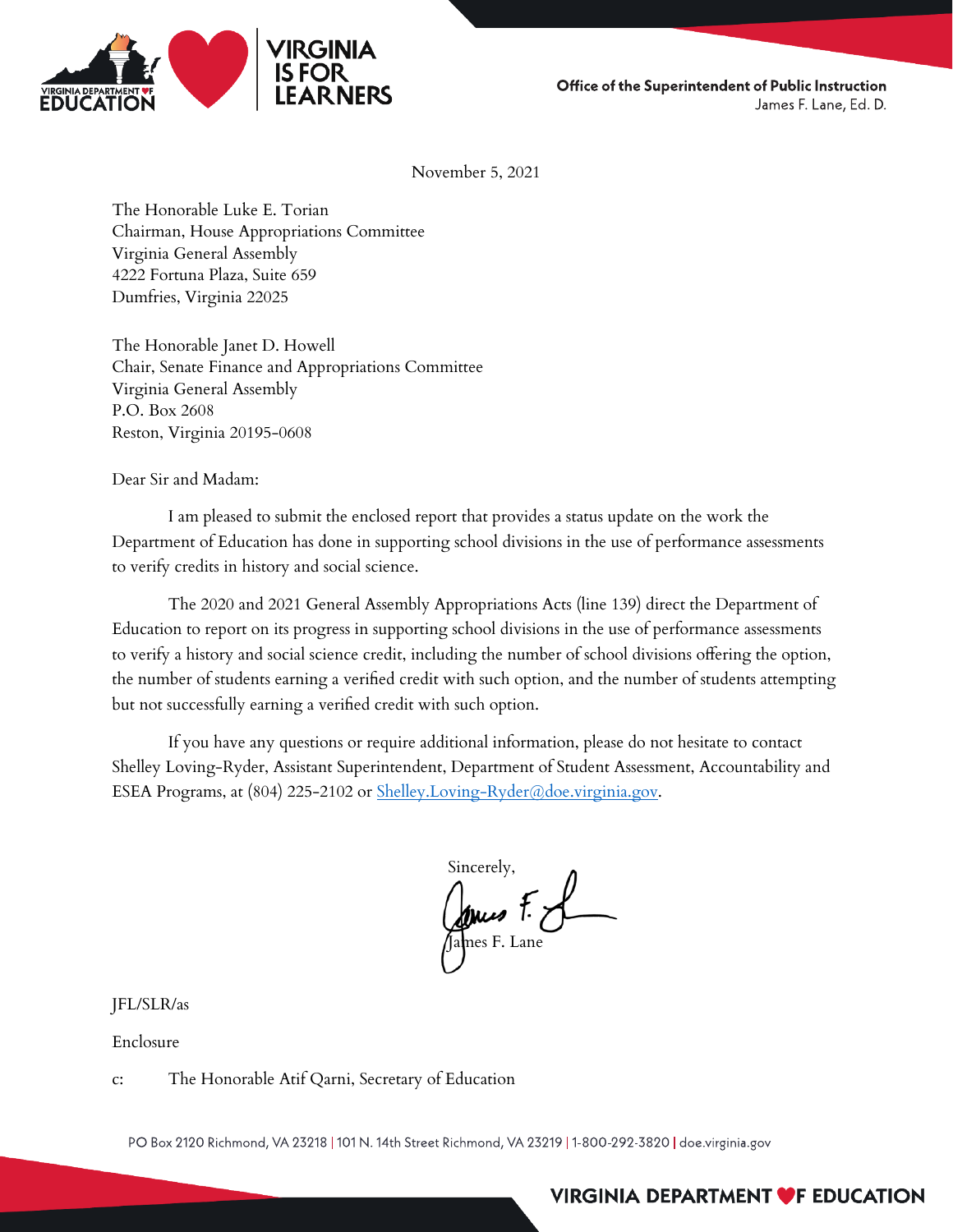

Office of the Superintendent of Public Instruction James F. Lane, Ed. D.

November 5, 2021

The Honorable Luke E. Torian Chairman, House Appropriations Committee Virginia General Assembly 4222 Fortuna Plaza, Suite 659 Dumfries, Virginia 22025

The Honorable Janet D. Howell Chair, Senate Finance and Appropriations Committee Virginia General Assembly P.O. Box 2608 Reston, Virginia 20195-0608

Dear Sir and Madam:

I am pleased to submit the enclosed report that provides a status update on the work the Department of Education has done in supporting school divisions in the use of performance assessments to verify credits in history and social science.

The 2020 and 2021 General Assembly Appropriations Acts (line 139) direct the Department of Education to report on its progress in supporting school divisions in the use of performance assessments to verify a history and social science credit, including the number of school divisions offering the option, the number of students earning a verified credit with such option, and the number of students attempting but not successfully earning a verified credit with such option.

If you have any questions or require additional information, please do not hesitate to contact Shelley Loving-Ryder, Assistant Superintendent, Department of Student Assessment, Accountability and ESEA Programs, at (804) 225-2102 or [Shelley.Loving-Ryder@doe.virginia.gov.](mailto:Shelley.Loving-Ryder@doe.virginia.gov)

Sincerely, James F. J

JFL/SLR/as

Enclosure

c: The Honorable Atif Qarni, Secretary of Education

PO Box 2120 Richmond, VA 23218 | 101 N. 14th Street Richmond, VA 23219 | 1-800-292-3820 | doe.virginia.gov

#### VIRGINIA DEPARTMENT **VF EDUCATION**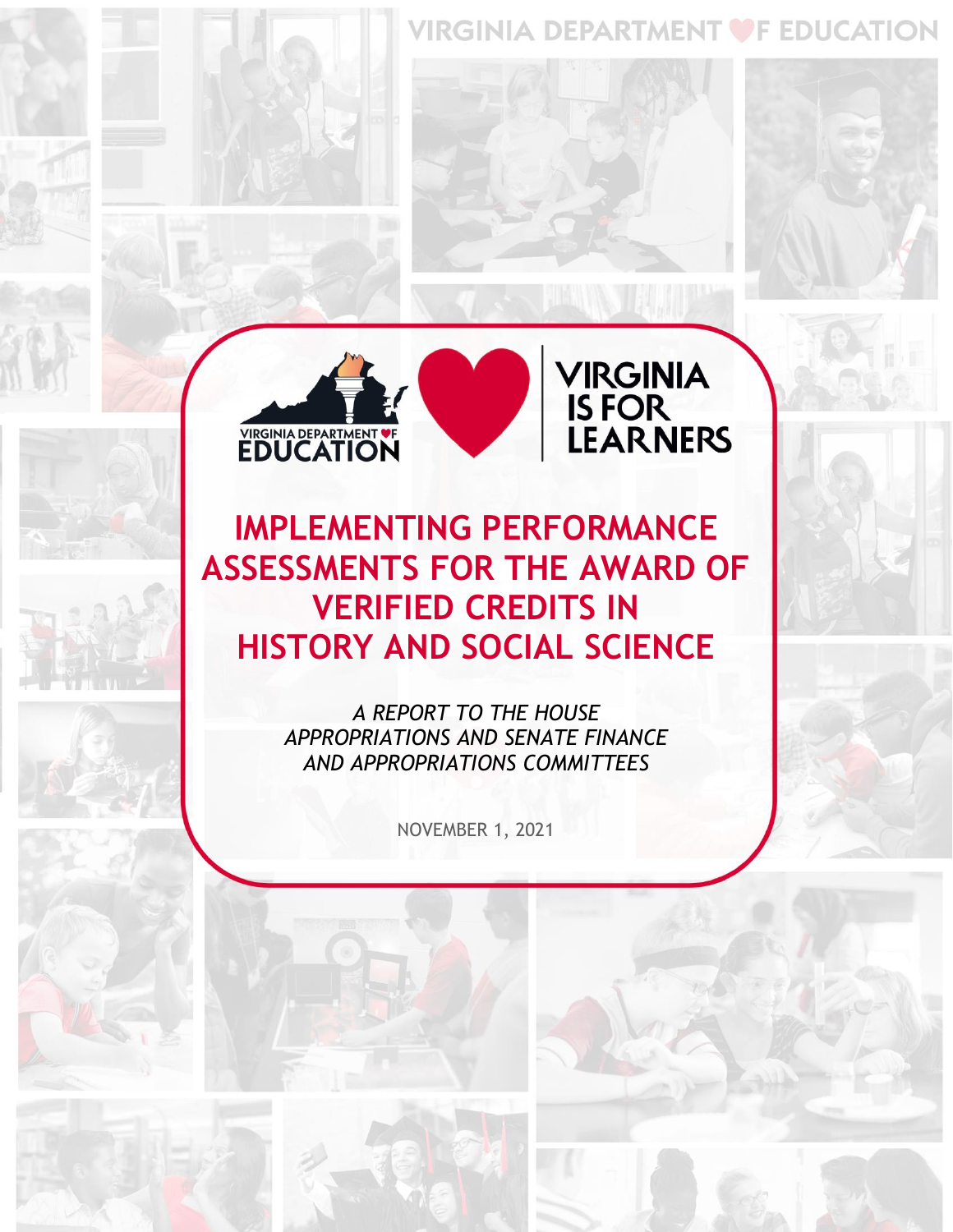#### VIRGINIA DEPARTMENT OF EDUCATION



**VIRGINIA<br>IS FOR<br>LEARNERS** 

**IMPLEMENTING PERFORMANCE ASSESSMENTS FOR THE AWARD OF VERIFIED CREDITS IN HISTORY AND SOCIAL SCIENCE** 

> *A REPORT TO THE HOUSE APPROPRIATIONS AND SENATE FINANCE AND APPROPRIATIONS COMMITTEES*

> > NOVEMBER 1, 2021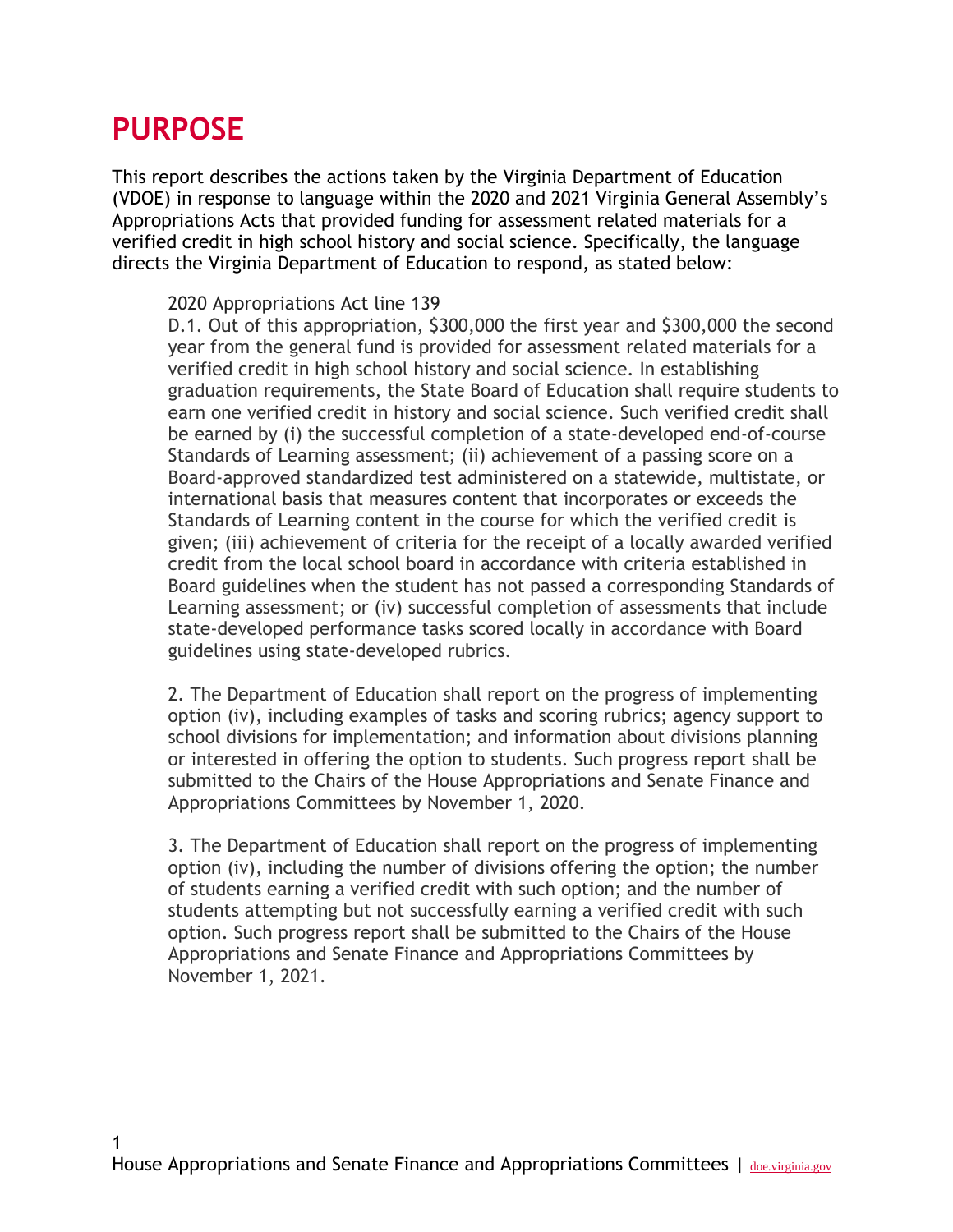#### **PURPOSE**

1

This report describes the actions taken by the Virginia Department of Education (VDOE) in response to language within the 2020 and 2021 Virginia General Assembly's Appropriations Acts that provided funding for assessment related materials for a verified credit in high school history and social science. Specifically, the language directs the Virginia Department of Education to respond, as stated below:

#### 2020 Appropriations Act line 139

D.1. Out of this appropriation, \$300,000 the first year and \$300,000 the second year from the general fund is provided for assessment related materials for a verified credit in high school history and social science. In establishing graduation requirements, the State Board of Education shall require students to earn one verified credit in history and social science. Such verified credit shall be earned by (i) the successful completion of a state-developed end-of-course Standards of Learning assessment; (ii) achievement of a passing score on a Board-approved standardized test administered on a statewide, multistate, or international basis that measures content that incorporates or exceeds the Standards of Learning content in the course for which the verified credit is given; (iii) achievement of criteria for the receipt of a locally awarded verified credit from the local school board in accordance with criteria established in Board guidelines when the student has not passed a corresponding Standards of Learning assessment; or (iv) successful completion of assessments that include state-developed performance tasks scored locally in accordance with Board guidelines using state-developed rubrics.

2. The Department of Education shall report on the progress of implementing option (iv), including examples of tasks and scoring rubrics; agency support to school divisions for implementation; and information about divisions planning or interested in offering the option to students. Such progress report shall be submitted to the Chairs of the House Appropriations and Senate Finance and Appropriations Committees by November 1, 2020.

3. The Department of Education shall report on the progress of implementing option (iv), including the number of divisions offering the option; the number of students earning a verified credit with such option; and the number of students attempting but not successfully earning a verified credit with such option. Such progress report shall be submitted to the Chairs of the House Appropriations and Senate Finance and Appropriations Committees by November 1, 2021.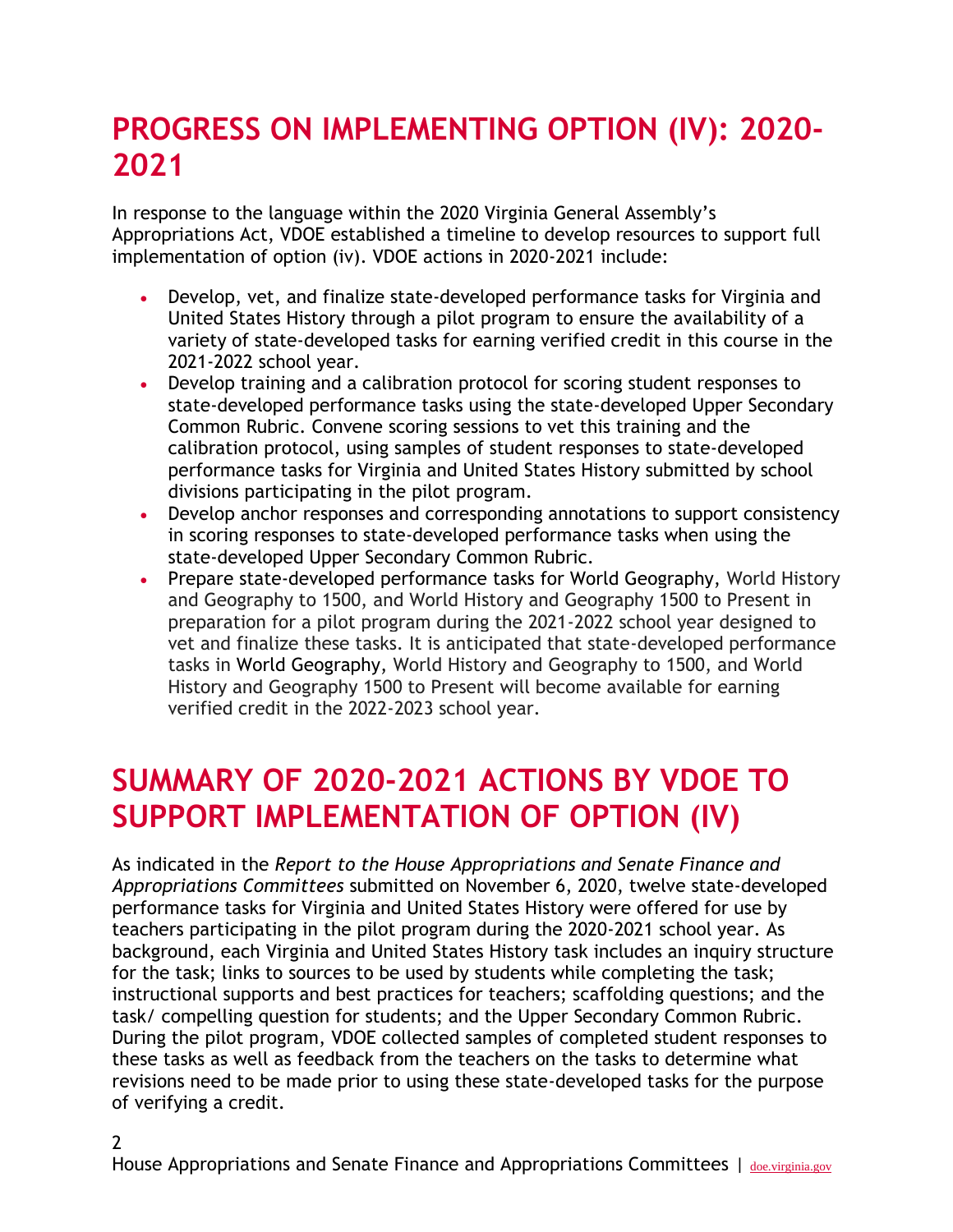## **PROGRESS ON IMPLEMENTING OPTION (IV): 2020- 2021**

In response to the language within the 2020 Virginia General Assembly's Appropriations Act, VDOE established a timeline to develop resources to support full implementation of option (iv). VDOE actions in 2020-2021 include:

- Develop, vet, and finalize state-developed performance tasks for Virginia and United States History through a pilot program to ensure the availability of a variety of state-developed tasks for earning verified credit in this course in the 2021-2022 school year.
- Develop training and a calibration protocol for scoring student responses to state-developed performance tasks using the state-developed Upper Secondary Common Rubric. Convene scoring sessions to vet this training and the calibration protocol, using samples of student responses to state-developed performance tasks for Virginia and United States History submitted by school divisions participating in the pilot program.
- Develop anchor responses and corresponding annotations to support consistency in scoring responses to state-developed performance tasks when using the state-developed Upper Secondary Common Rubric.
- Prepare state-developed performance tasks for World Geography, World History and Geography to 1500, and World History and Geography 1500 to Present in preparation for a pilot program during the 2021-2022 school year designed to vet and finalize these tasks. It is anticipated that state-developed performance tasks in World Geography, World History and Geography to 1500, and World History and Geography 1500 to Present will become available for earning verified credit in the 2022-2023 school year.

#### **SUMMARY OF 2020-2021 ACTIONS BY VDOE TO SUPPORT IMPLEMENTATION OF OPTION (IV)**

As indicated in the *Report to the House Appropriations and Senate Finance and Appropriations Committees* submitted on November 6, 2020, twelve state-developed performance tasks for Virginia and United States History were offered for use by teachers participating in the pilot program during the 2020-2021 school year. As background, each Virginia and United States History task includes an inquiry structure for the task; links to sources to be used by students while completing the task; instructional supports and best practices for teachers; scaffolding questions; and the task/ compelling question for students; and the Upper Secondary Common Rubric. During the pilot program, VDOE collected samples of completed student responses to these tasks as well as feedback from the teachers on the tasks to determine what revisions need to be made prior to using these state-developed tasks for the purpose of verifying a credit.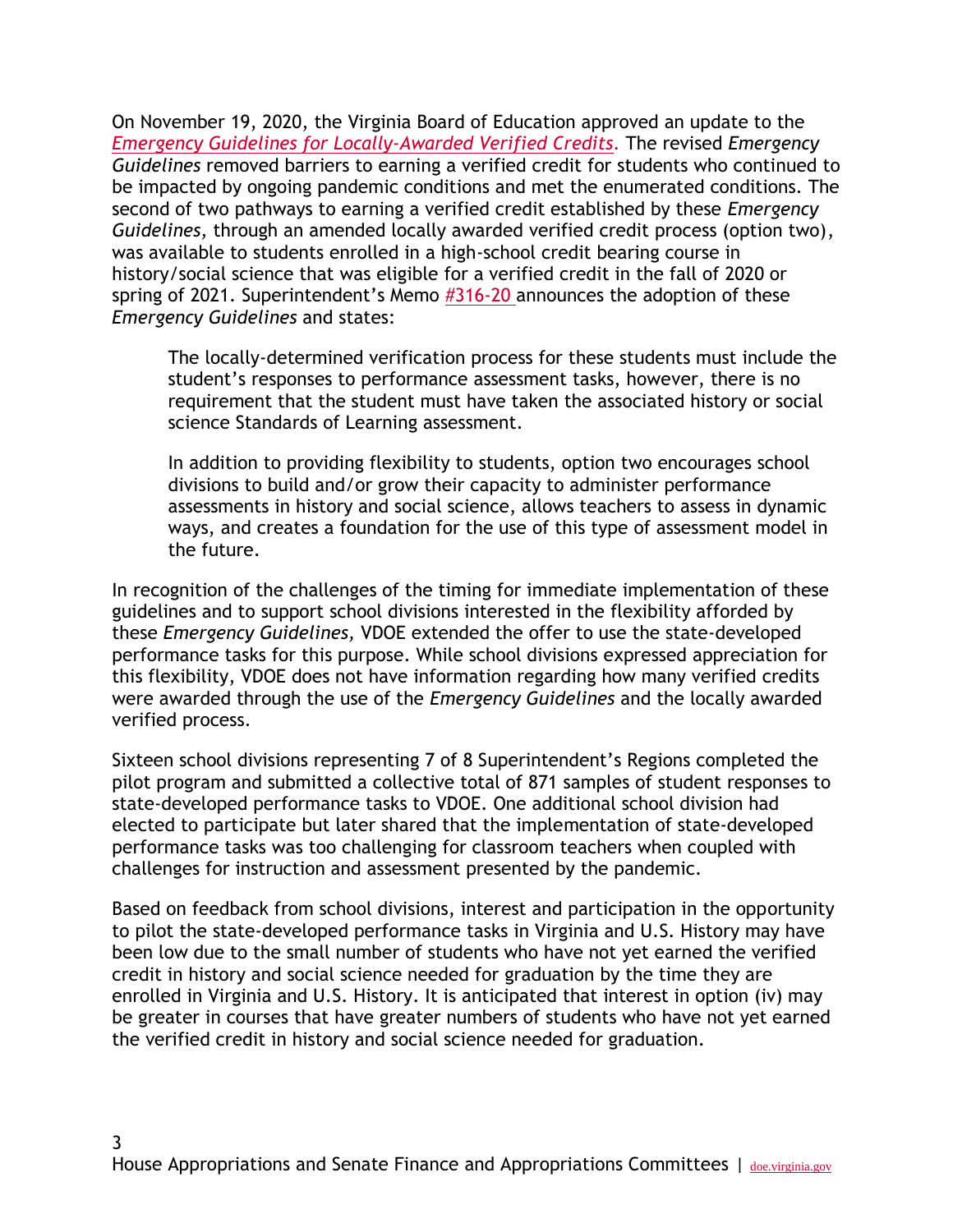On November 19, 2020, the Virginia Board of Education approved an update to th[e](https://www.doe.virginia.gov/boe/meetings/2020/11-nov/item-g-attachment-a-b.docx) *[Emergency Guidelines for Locally-Awarded Verified Credits](https://www.doe.virginia.gov/boe/meetings/2020/11-nov/item-g-attachment-a-b.docx)*. The revised *Emergency Guidelines* removed barriers to earning a verified credit for students who continued to be impacted by ongoing pandemic conditions and met the enumerated conditions. The second of two pathways to earning a verified credit established by these *Emergency Guidelines,* through an amended locally awarded verified credit process (option two), was available to students enrolled in a high-school credit bearing course in history/social science that was eligible for a verified credit in the fall of 2020 or spring of 2021. Superintendent's Memo [#316-20 a](https://www.doe.virginia.gov/administrators/superintendents_memos/2020/316-20.docx)nnounces the adoption of these *Emergency Guidelines* and states:

The locally-determined verification process for these students must include the student's responses to performance assessment tasks, however, there is no requirement that the student must have taken the associated history or social science Standards of Learning assessment.

In addition to providing flexibility to students, option two encourages school divisions to build and/or grow their capacity to administer performance assessments in history and social science, allows teachers to assess in dynamic ways, and creates a foundation for the use of this type of assessment model in the future.

In recognition of the challenges of the timing for immediate implementation of these guidelines and to support school divisions interested in the flexibility afforded by these *Emergency Guidelines,* VDOE extended the offer to use the state-developed performance tasks for this purpose. While school divisions expressed appreciation for this flexibility, VDOE does not have information regarding how many verified credits were awarded through the use of the *Emergency Guidelines* and the locally awarded verified process.

Sixteen school divisions representing 7 of 8 Superintendent's Regions completed the pilot program and submitted a collective total of 871 samples of student responses to state-developed performance tasks to VDOE. One additional school division had elected to participate but later shared that the implementation of state-developed performance tasks was too challenging for classroom teachers when coupled with challenges for instruction and assessment presented by the pandemic.

Based on feedback from school divisions, interest and participation in the opportunity to pilot the state-developed performance tasks in Virginia and U.S. History may have been low due to the small number of students who have not yet earned the verified credit in history and social science needed for graduation by the time they are enrolled in Virginia and U.S. History. It is anticipated that interest in option (iv) may be greater in courses that have greater numbers of students who have not yet earned the verified credit in history and social science needed for graduation.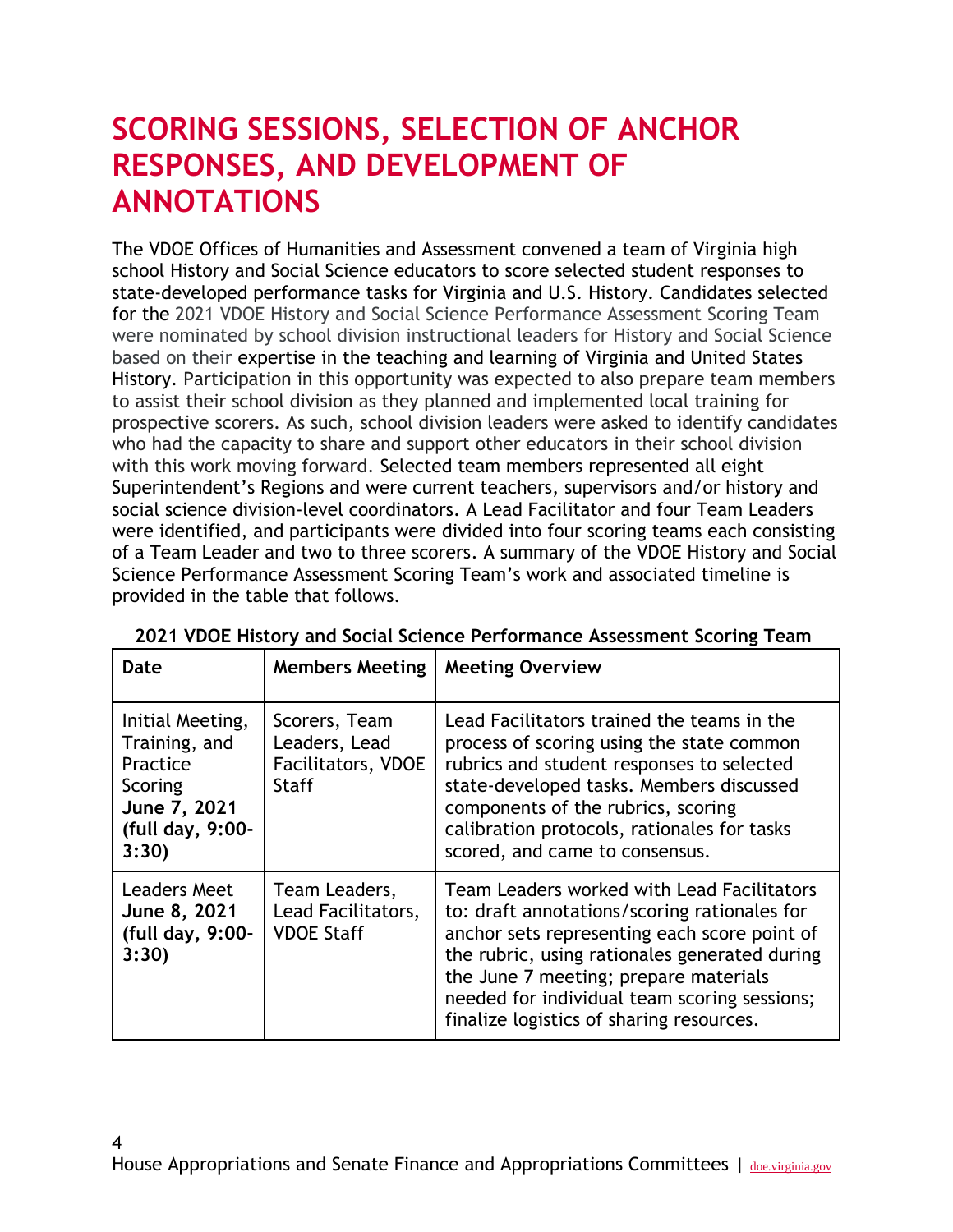### **SCORING SESSIONS, SELECTION OF ANCHOR RESPONSES, AND DEVELOPMENT OF ANNOTATIONS**

The VDOE Offices of Humanities and Assessment convened a team of Virginia high school History and Social Science educators to score selected student responses to state-developed performance tasks for Virginia and U.S. History. Candidates selected for the 2021 VDOE History and Social Science Performance Assessment Scoring Team were nominated by school division instructional leaders for History and Social Science based on their expertise in the teaching and learning of Virginia and United States History. Participation in this opportunity was expected to also prepare team members to assist their school division as they planned and implemented local training for prospective scorers. As such, school division leaders were asked to identify candidates who had the capacity to share and support other educators in their school division with this work moving forward. Selected team members represented all eight Superintendent's Regions and were current teachers, supervisors and/or history and social science division-level coordinators. A Lead Facilitator and four Team Leaders were identified, and participants were divided into four scoring teams each consisting of a Team Leader and two to three scorers. A summary of the VDOE History and Social Science Performance Assessment Scoring Team's work and associated timeline is provided in the table that follows.

| <b>Date</b>                                                                                           | <b>Members Meeting</b>                                               | <b>Meeting Overview</b>                                                                                                                                                                                                                                                                                                          |
|-------------------------------------------------------------------------------------------------------|----------------------------------------------------------------------|----------------------------------------------------------------------------------------------------------------------------------------------------------------------------------------------------------------------------------------------------------------------------------------------------------------------------------|
| Initial Meeting,<br>Training, and<br>Practice<br>Scoring<br>June 7, 2021<br>(full day, 9:00-<br>3:30) | Scorers, Team<br>Leaders, Lead<br>Facilitators, VDOE<br><b>Staff</b> | Lead Facilitators trained the teams in the<br>process of scoring using the state common<br>rubrics and student responses to selected<br>state-developed tasks. Members discussed<br>components of the rubrics, scoring<br>calibration protocols, rationales for tasks<br>scored, and came to consensus.                          |
| Leaders Meet<br>June 8, 2021<br>(full day, 9:00-<br>3:30)                                             | Team Leaders,<br>Lead Facilitators,<br><b>VDOE Staff</b>             | Team Leaders worked with Lead Facilitators<br>to: draft annotations/scoring rationales for<br>anchor sets representing each score point of<br>the rubric, using rationales generated during<br>the June 7 meeting; prepare materials<br>needed for individual team scoring sessions;<br>finalize logistics of sharing resources. |

| 2021 VDOE History and Social Science Performance Assessment Scoring Team |  |  |
|--------------------------------------------------------------------------|--|--|
|                                                                          |  |  |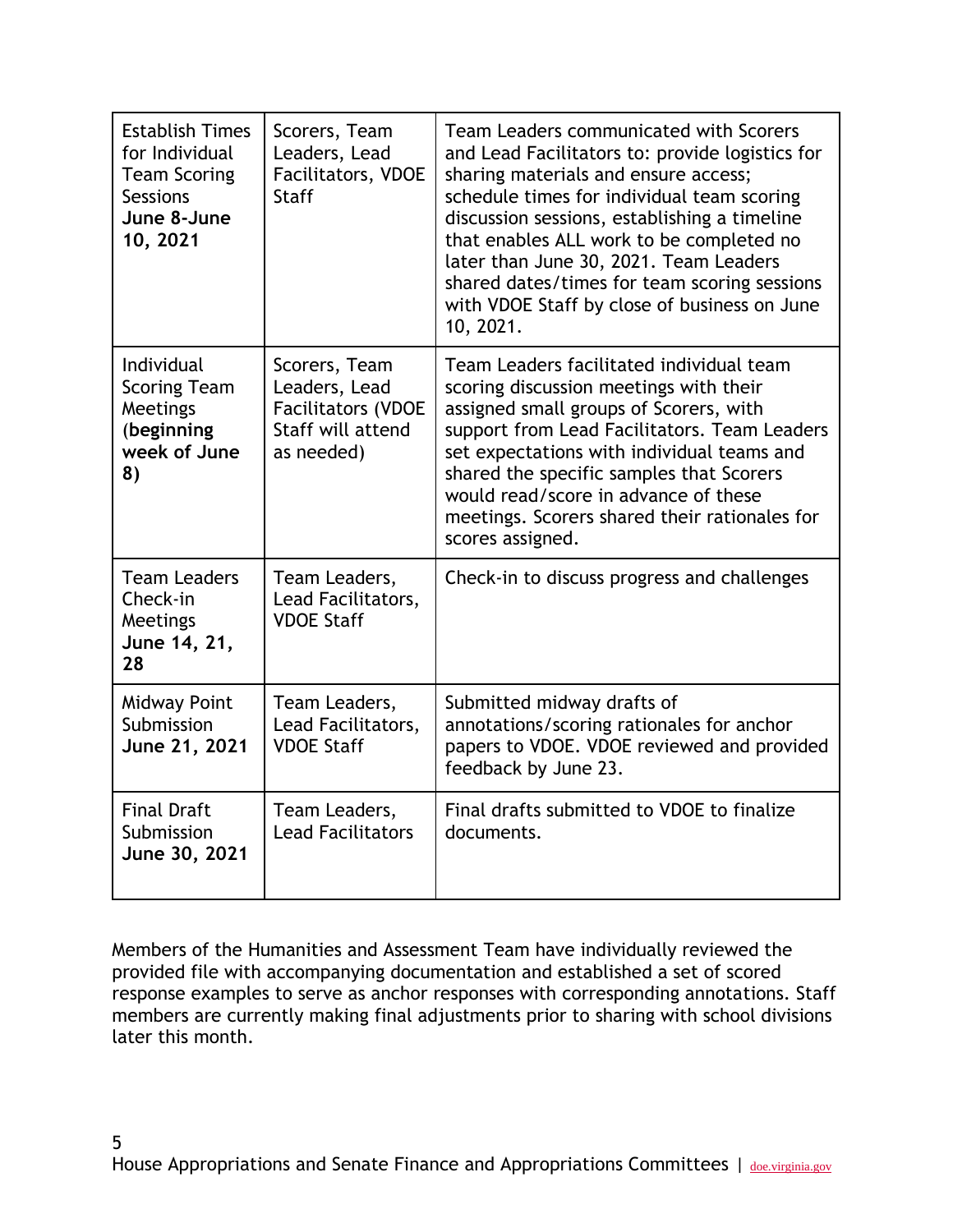| <b>Establish Times</b><br>for Individual<br><b>Team Scoring</b><br><b>Sessions</b><br>June 8-June<br>10, 2021 | Scorers, Team<br>Leaders, Lead<br><b>Facilitators, VDOE</b><br><b>Staff</b>                    | Team Leaders communicated with Scorers<br>and Lead Facilitators to: provide logistics for<br>sharing materials and ensure access;<br>schedule times for individual team scoring<br>discussion sessions, establishing a timeline<br>that enables ALL work to be completed no<br>later than June 30, 2021. Team Leaders<br>shared dates/times for team scoring sessions<br>with VDOE Staff by close of business on June<br>10, 2021. |
|---------------------------------------------------------------------------------------------------------------|------------------------------------------------------------------------------------------------|------------------------------------------------------------------------------------------------------------------------------------------------------------------------------------------------------------------------------------------------------------------------------------------------------------------------------------------------------------------------------------------------------------------------------------|
| Individual<br><b>Scoring Team</b><br>Meetings<br>(beginning<br>week of June<br>8)                             | Scorers, Team<br>Leaders, Lead<br><b>Facilitators (VDOE</b><br>Staff will attend<br>as needed) | Team Leaders facilitated individual team<br>scoring discussion meetings with their<br>assigned small groups of Scorers, with<br>support from Lead Facilitators. Team Leaders<br>set expectations with individual teams and<br>shared the specific samples that Scorers<br>would read/score in advance of these<br>meetings. Scorers shared their rationales for<br>scores assigned.                                                |
| <b>Team Leaders</b><br>Check-in<br><b>Meetings</b><br>June 14, 21,<br>28                                      | Team Leaders,<br>Lead Facilitators,<br><b>VDOE Staff</b>                                       | Check-in to discuss progress and challenges                                                                                                                                                                                                                                                                                                                                                                                        |
| <b>Midway Point</b><br>Submission<br>June 21, 2021                                                            | Team Leaders,<br>Lead Facilitators,<br><b>VDOE Staff</b>                                       | Submitted midway drafts of<br>annotations/scoring rationales for anchor<br>papers to VDOE. VDOE reviewed and provided<br>feedback by June 23.                                                                                                                                                                                                                                                                                      |
| <b>Final Draft</b><br>Submission<br>June 30, 2021                                                             | Team Leaders,<br><b>Lead Facilitators</b>                                                      | Final drafts submitted to VDOE to finalize<br>documents.                                                                                                                                                                                                                                                                                                                                                                           |

Members of the Humanities and Assessment Team have individually reviewed the provided file with accompanying documentation and established a set of scored response examples to serve as anchor responses with corresponding annotations. Staff members are currently making final adjustments prior to sharing with school divisions later this month.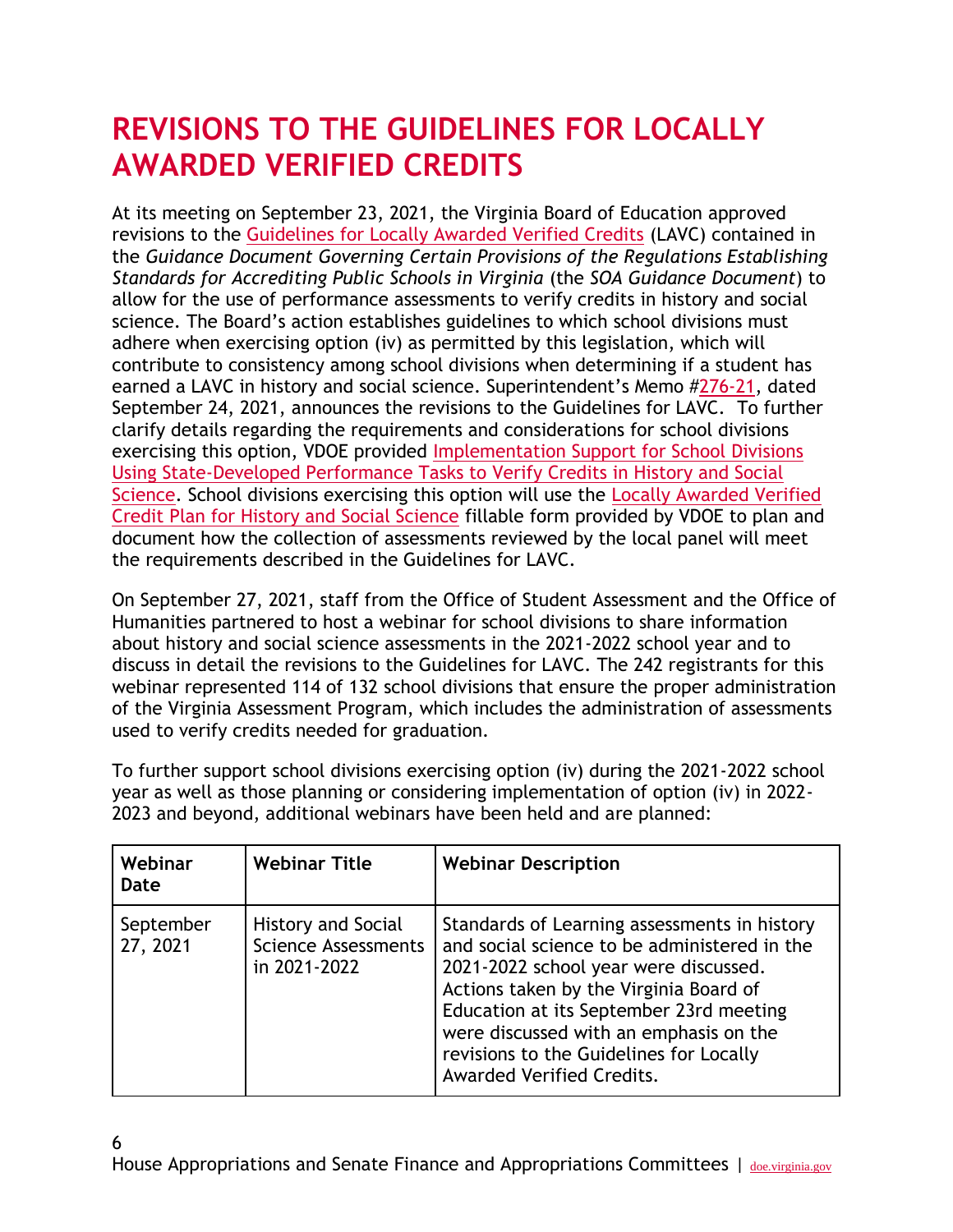### **REVISIONS TO THE GUIDELINES FOR LOCALLY AWARDED VERIFIED CREDITS**

At its meeting on September 23, 2021, the Virginia Board of Education approved revisions to the [Guidelines for Locally Awarded Verified Credits](https://www.doe.virginia.gov/testing/local_assessments/guidelines-lavc.docx) (LAVC) contained in the *Guidance Document Governing Certain Provisions of the Regulations Establishing Standards for Accrediting Public Schools in Virginia* (the *SOA Guidance Document*) to allow for the use of performance assessments to verify credits in history and social science. The Board's action establishes guidelines to which school divisions must adhere when exercising option (iv) as permitted by this legislation, which will contribute to consistency among school divisions when determining if a student has earned a LAVC in history and social science. Superintendent's Memo #[276-21,](https://www.doe.virginia.gov/administrators/superintendents_memos/2021/276-21.pdf) dated September 24, 2021, announces the revisions to the Guidelines for LAVC. To further clarify details regarding the requirements and considerations for school divisions exercising this option, VDOE provided [Implementation Support for School Divisions](https://www.doe.virginia.gov/testing/local_assessments/implementation-hss-lavc-perf-assess.docx)  [Using State-Developed Performance Tasks to Verify Credits in History and Social](https://www.doe.virginia.gov/testing/local_assessments/implementation-hss-lavc-perf-assess.docx)  [Science.](https://www.doe.virginia.gov/testing/local_assessments/implementation-hss-lavc-perf-assess.docx) School divisions exercising this option will use the [Locally Awarded Verified](https://www.doe.virginia.gov/testing/local_assessments/hss-lavc-plan-form_2021.docx)  [Credit Plan for History and Social Science](https://www.doe.virginia.gov/testing/local_assessments/hss-lavc-plan-form_2021.docx) fillable form provided by VDOE to plan and document how the collection of assessments reviewed by the local panel will meet the requirements described in the Guidelines for LAVC.

On September 27, 2021, staff from the Office of Student Assessment and the Office of Humanities partnered to host a webinar for school divisions to share information about history and social science assessments in the 2021-2022 school year and to discuss in detail the revisions to the Guidelines for LAVC. The 242 registrants for this webinar represented 114 of 132 school divisions that ensure the proper administration of the Virginia Assessment Program, which includes the administration of assessments used to verify credits needed for graduation.

To further support school divisions exercising option (iv) during the 2021-2022 school year as well as those planning or considering implementation of option (iv) in 2022- 2023 and beyond, additional webinars have been held and are planned:

| Webinar<br><b>Date</b> | <b>Webinar Title</b>                                                    | <b>Webinar Description</b>                                                                                                                                                                                                                                                                                                                   |
|------------------------|-------------------------------------------------------------------------|----------------------------------------------------------------------------------------------------------------------------------------------------------------------------------------------------------------------------------------------------------------------------------------------------------------------------------------------|
| September<br>27, 2021  | <b>History and Social</b><br><b>Science Assessments</b><br>in 2021-2022 | Standards of Learning assessments in history<br>and social science to be administered in the<br>2021-2022 school year were discussed.<br>Actions taken by the Virginia Board of<br>Education at its September 23rd meeting<br>were discussed with an emphasis on the<br>revisions to the Guidelines for Locally<br>Awarded Verified Credits. |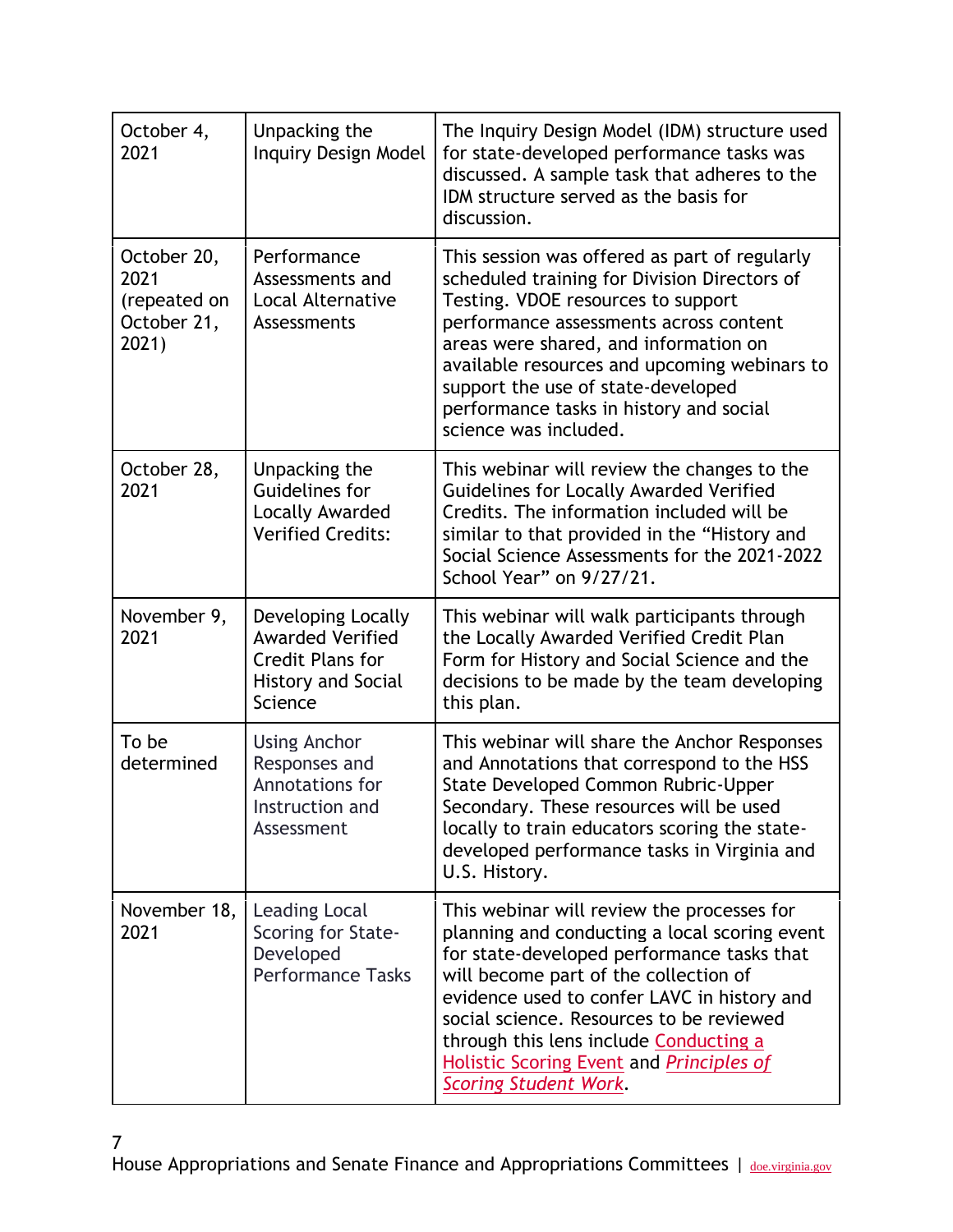| October 4,<br>2021                                          | Unpacking the<br><b>Inquiry Design Model</b>                                                                     | The Inquiry Design Model (IDM) structure used<br>for state-developed performance tasks was<br>discussed. A sample task that adheres to the<br>IDM structure served as the basis for<br>discussion.                                                                                                                                                                                                         |
|-------------------------------------------------------------|------------------------------------------------------------------------------------------------------------------|------------------------------------------------------------------------------------------------------------------------------------------------------------------------------------------------------------------------------------------------------------------------------------------------------------------------------------------------------------------------------------------------------------|
| October 20,<br>2021<br>(repeated on<br>October 21,<br>2021) | Performance<br>Assessments and<br><b>Local Alternative</b><br>Assessments                                        | This session was offered as part of regularly<br>scheduled training for Division Directors of<br>Testing. VDOE resources to support<br>performance assessments across content<br>areas were shared, and information on<br>available resources and upcoming webinars to<br>support the use of state-developed<br>performance tasks in history and social<br>science was included.                           |
| October 28,<br>2021                                         | Unpacking the<br>Guidelines for<br>Locally Awarded<br><b>Verified Credits:</b>                                   | This webinar will review the changes to the<br>Guidelines for Locally Awarded Verified<br>Credits. The information included will be<br>similar to that provided in the "History and<br>Social Science Assessments for the 2021-2022<br>School Year" on 9/27/21.                                                                                                                                            |
| November 9,<br>2021                                         | Developing Locally<br><b>Awarded Verified</b><br><b>Credit Plans for</b><br><b>History and Social</b><br>Science | This webinar will walk participants through<br>the Locally Awarded Verified Credit Plan<br>Form for History and Social Science and the<br>decisions to be made by the team developing<br>this plan.                                                                                                                                                                                                        |
| To be<br>determined                                         | <b>Using Anchor</b><br>Responses and<br>Annotations for<br>Instruction and<br>Assessment                         | This webinar will share the Anchor Responses<br>and Annotations that correspond to the HSS<br>State Developed Common Rubric-Upper<br>Secondary. These resources will be used<br>locally to train educators scoring the state-<br>developed performance tasks in Virginia and<br>U.S. History.                                                                                                              |
| November 18,<br>2021                                        | Leading Local<br>Scoring for State-<br>Developed<br><b>Performance Tasks</b>                                     | This webinar will review the processes for<br>planning and conducting a local scoring event<br>for state-developed performance tasks that<br>will become part of the collection of<br>evidence used to confer LAVC in history and<br>social science. Resources to be reviewed<br>through this lens include Conducting a<br>Holistic Scoring Event and <i>Principles of</i><br><b>Scoring Student Work.</b> |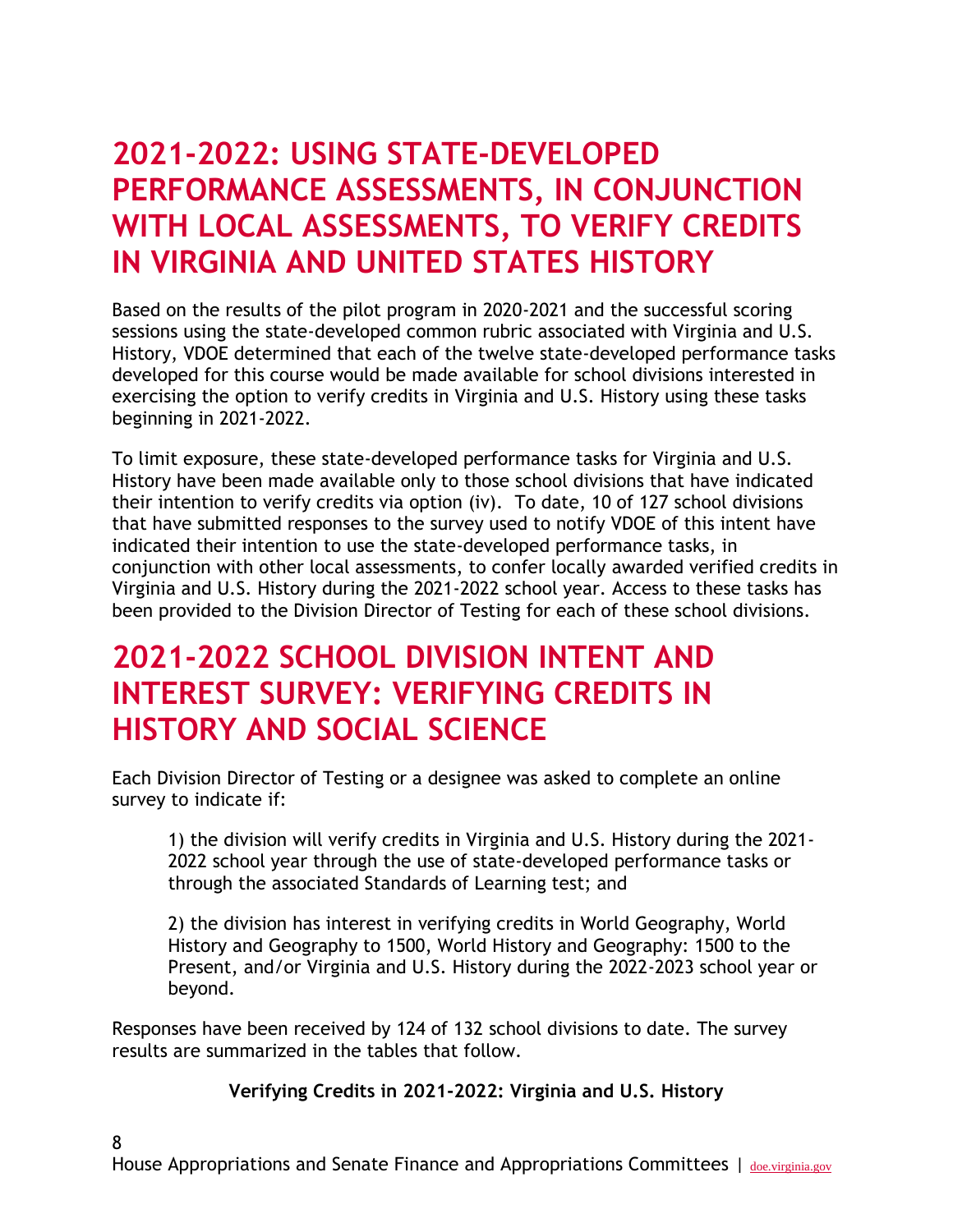#### **2021-2022: USING STATE-DEVELOPED PERFORMANCE ASSESSMENTS, IN CONJUNCTION WITH LOCAL ASSESSMENTS, TO VERIFY CREDITS IN VIRGINIA AND UNITED STATES HISTORY**

Based on the results of the pilot program in 2020-2021 and the successful scoring sessions using the state-developed common rubric associated with Virginia and U.S. History, VDOE determined that each of the twelve state-developed performance tasks developed for this course would be made available for school divisions interested in exercising the option to verify credits in Virginia and U.S. History using these tasks beginning in 2021-2022.

To limit exposure, these state-developed performance tasks for Virginia and U.S. History have been made available only to those school divisions that have indicated their intention to verify credits via option (iv). To date, 10 of 127 school divisions that have submitted responses to the survey used to notify VDOE of this intent have indicated their intention to use the state-developed performance tasks, in conjunction with other local assessments, to confer locally awarded verified credits in Virginia and U.S. History during the 2021-2022 school year. Access to these tasks has been provided to the Division Director of Testing for each of these school divisions.

#### **2021-2022 SCHOOL DIVISION INTENT AND INTEREST SURVEY: VERIFYING CREDITS IN HISTORY AND SOCIAL SCIENCE**

Each Division Director of Testing or a designee was asked to complete an online survey to indicate if:

1) the division will verify credits in Virginia and U.S. History during the 2021- 2022 school year through the use of state-developed performance tasks or through the associated Standards of Learning test; and

2) the division has interest in verifying credits in World Geography, World History and Geography to 1500, World History and Geography: 1500 to the Present, and/or Virginia and U.S. History during the 2022-2023 school year or beyond.

Responses have been received by 124 of 132 school divisions to date. The survey results are summarized in the tables that follow.

8

**Verifying Credits in 2021-2022: Virginia and U.S. History**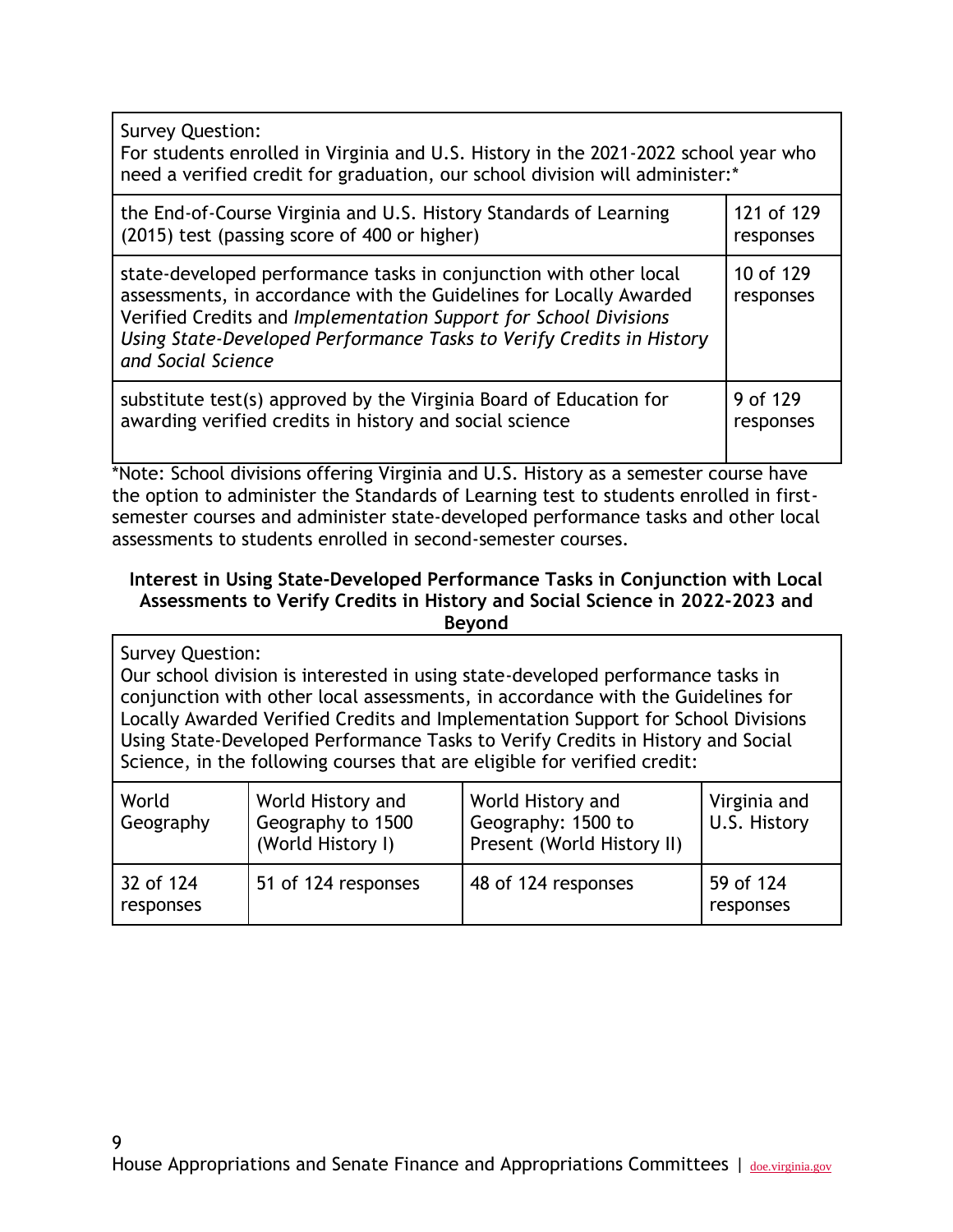| <b>Survey Question:</b><br>For students enrolled in Virginia and U.S. History in the 2021-2022 school year who<br>need a verified credit for graduation, our school division will administer:*                                                                                                            |                        |  |
|-----------------------------------------------------------------------------------------------------------------------------------------------------------------------------------------------------------------------------------------------------------------------------------------------------------|------------------------|--|
| the End-of-Course Virginia and U.S. History Standards of Learning                                                                                                                                                                                                                                         | 121 of 129             |  |
| (2015) test (passing score of 400 or higher)                                                                                                                                                                                                                                                              | responses              |  |
| state-developed performance tasks in conjunction with other local<br>assessments, in accordance with the Guidelines for Locally Awarded<br>Verified Credits and Implementation Support for School Divisions<br>Using State-Developed Performance Tasks to Verify Credits in History<br>and Social Science | 10 of 129<br>responses |  |
| substitute test(s) approved by the Virginia Board of Education for                                                                                                                                                                                                                                        | 9 of 129               |  |
| awarding verified credits in history and social science                                                                                                                                                                                                                                                   | responses              |  |

\*Note: School divisions offering Virginia and U.S. History as a semester course have the option to administer the Standards of Learning test to students enrolled in firstsemester courses and administer state-developed performance tasks and other local assessments to students enrolled in second-semester courses.

#### **Interest in Using State-Developed Performance Tasks in Conjunction with Local Assessments to Verify Credits in History and Social Science in 2022-2023 and Beyond**

Survey Question: Our school division is interested in using state-developed performance tasks in conjunction with other local assessments, in accordance with the Guidelines for Locally Awarded Verified Credits and Implementation Support for School Divisions Using State-Developed Performance Tasks to Verify Credits in History and Social Science, in the following courses that are eligible for verified credit:

| World<br>Geography     | World History and<br>Geography to 1500<br>(World History I) | World History and<br>Geography: 1500 to<br>Present (World History II) | Virginia and<br>U.S. History |
|------------------------|-------------------------------------------------------------|-----------------------------------------------------------------------|------------------------------|
| 32 of 124<br>responses | 51 of 124 responses                                         | 48 of 124 responses                                                   | 59 of 124<br>responses       |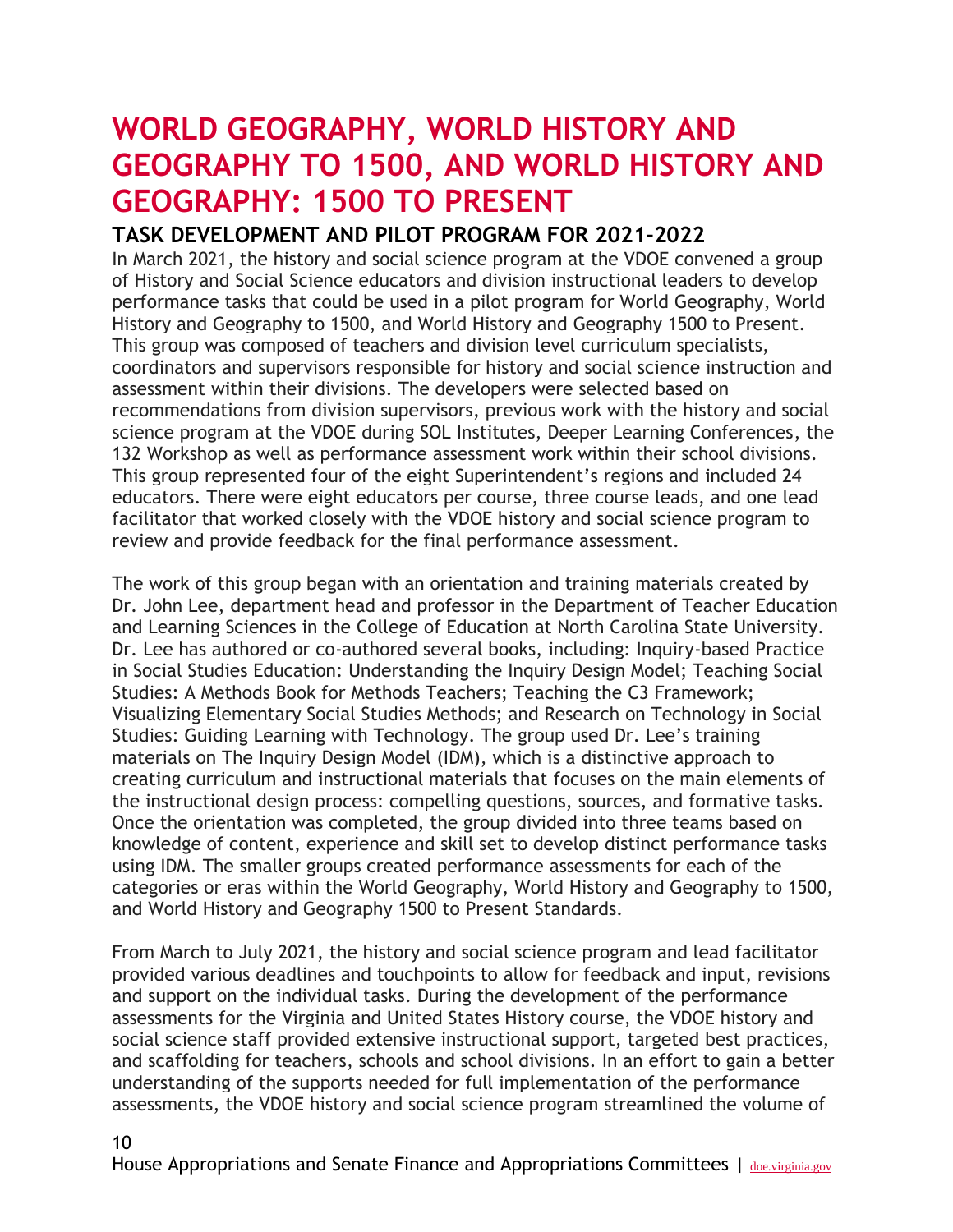### **WORLD GEOGRAPHY, WORLD HISTORY AND GEOGRAPHY TO 1500, AND WORLD HISTORY AND GEOGRAPHY: 1500 TO PRESENT**

#### **TASK DEVELOPMENT AND PILOT PROGRAM FOR 2021-2022**

In March 2021, the history and social science program at the VDOE convened a group of History and Social Science educators and division instructional leaders to develop performance tasks that could be used in a pilot program for World Geography, World History and Geography to 1500, and World History and Geography 1500 to Present. This group was composed of teachers and division level curriculum specialists, coordinators and supervisors responsible for history and social science instruction and assessment within their divisions. The developers were selected based on recommendations from division supervisors, previous work with the history and social science program at the VDOE during SOL Institutes, Deeper Learning Conferences, the 132 Workshop as well as performance assessment work within their school divisions. This group represented four of the eight Superintendent's regions and included 24 educators. There were eight educators per course, three course leads, and one lead facilitator that worked closely with the VDOE history and social science program to review and provide feedback for the final performance assessment.

The work of this group began with an orientation and training materials created by Dr. John Lee, department head and professor in the Department of Teacher Education and Learning Sciences in the College of Education at North Carolina State University. Dr. Lee has authored or co-authored several books, including: Inquiry-based Practice in Social Studies Education: Understanding the Inquiry Design Model; Teaching Social Studies: A Methods Book for Methods Teachers; Teaching the C3 Framework; Visualizing Elementary Social Studies Methods; and Research on Technology in Social Studies: Guiding Learning with Technology. The group used Dr. Lee's training materials on The Inquiry Design Model (IDM), which is a distinctive approach to creating curriculum and instructional materials that focuses on the main elements of the instructional design process: compelling questions, sources, and formative tasks. Once the orientation was completed, the group divided into three teams based on knowledge of content, experience and skill set to develop distinct performance tasks using IDM. The smaller groups created performance assessments for each of the categories or eras within the World Geography, World History and Geography to 1500, and World History and Geography 1500 to Present Standards.

From March to July 2021, the history and social science program and lead facilitator provided various deadlines and touchpoints to allow for feedback and input, revisions and support on the individual tasks. During the development of the performance assessments for the Virginia and United States History course, the VDOE history and social science staff provided extensive instructional support, targeted best practices, and scaffolding for teachers, schools and school divisions. In an effort to gain a better understanding of the supports needed for full implementation of the performance assessments, the VDOE history and social science program streamlined the volume of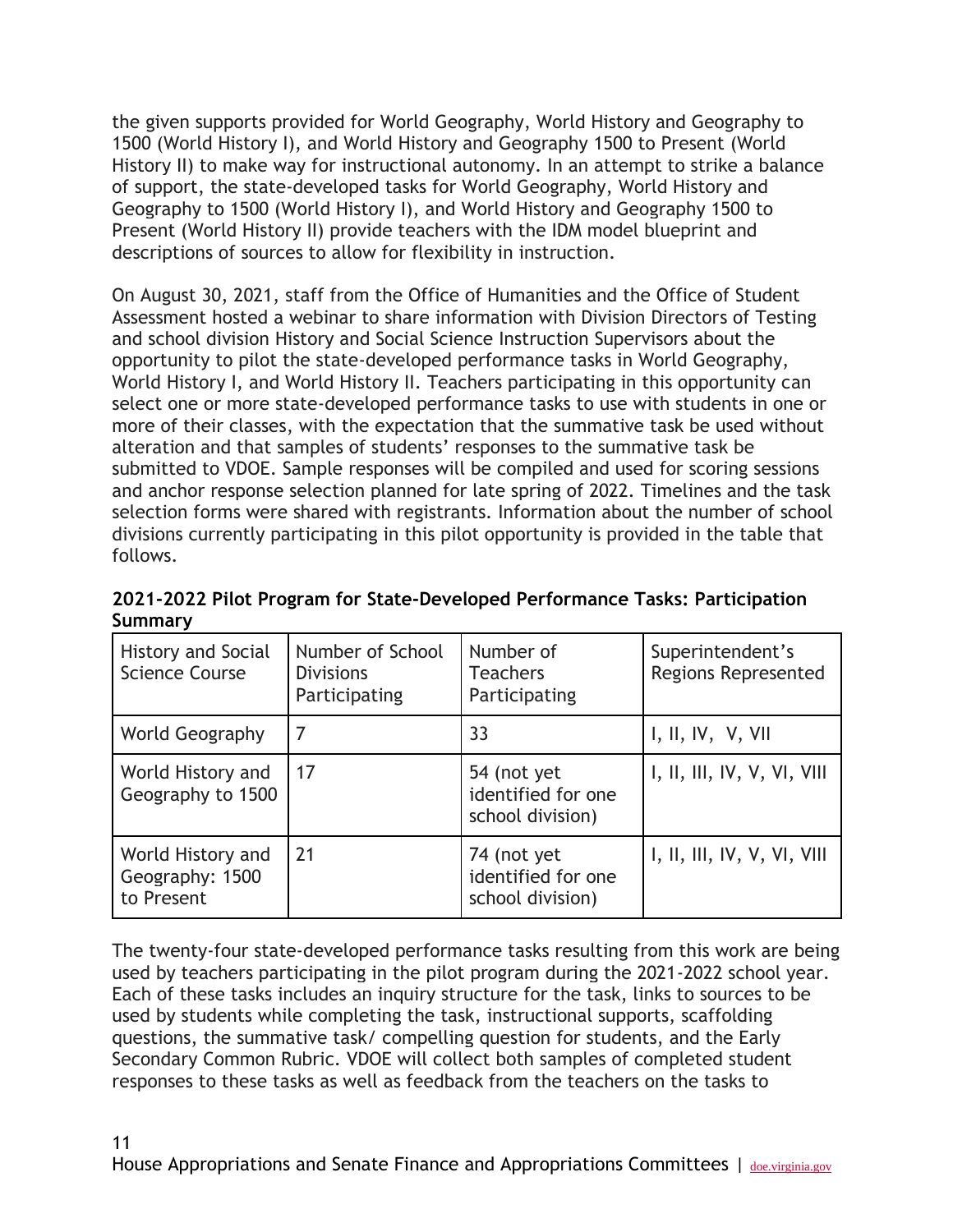the given supports provided for World Geography, World History and Geography to 1500 (World History I), and World History and Geography 1500 to Present (World History II) to make way for instructional autonomy. In an attempt to strike a balance of support, the state-developed tasks for World Geography, World History and Geography to 1500 (World History I), and World History and Geography 1500 to Present (World History II) provide teachers with the IDM model blueprint and descriptions of sources to allow for flexibility in instruction.

On August 30, 2021, staff from the Office of Humanities and the Office of Student Assessment hosted a webinar to share information with Division Directors of Testing and school division History and Social Science Instruction Supervisors about the opportunity to pilot the state-developed performance tasks in World Geography, World History I, and World History II. Teachers participating in this opportunity can select one or more state-developed performance tasks to use with students in one or more of their classes, with the expectation that the summative task be used without alteration and that samples of students' responses to the summative task be submitted to VDOE. Sample responses will be compiled and used for scoring sessions and anchor response selection planned for late spring of 2022. Timelines and the task selection forms were shared with registrants. Information about the number of school divisions currently participating in this pilot opportunity is provided in the table that follows.

**2021-2022 Pilot Program for State-Developed Performance Tasks: Participation Summary**

| History and Social<br><b>Science Course</b>        | Number of School<br><b>Divisions</b><br>Participating | Number of<br><b>Teachers</b><br>Participating         | Superintendent's<br><b>Regions Represented</b> |
|----------------------------------------------------|-------------------------------------------------------|-------------------------------------------------------|------------------------------------------------|
| World Geography                                    | 7                                                     | 33                                                    | I, II, IV, V, VII                              |
| World History and<br>Geography to 1500             | 17                                                    | 54 (not yet<br>identified for one<br>school division) | I, II, III, IV, V, VI, VII                     |
| World History and<br>Geography: 1500<br>to Present | 21                                                    | 74 (not yet<br>identified for one<br>school division) | I, II, III, IV, V, VI, VIII                    |

The twenty-four state-developed performance tasks resulting from this work are being used by teachers participating in the pilot program during the 2021-2022 school year. Each of these tasks includes an inquiry structure for the task, links to sources to be used by students while completing the task, instructional supports, scaffolding questions, the summative task/ compelling question for students, and the Early Secondary Common Rubric. VDOE will collect both samples of completed student responses to these tasks as well as feedback from the teachers on the tasks to